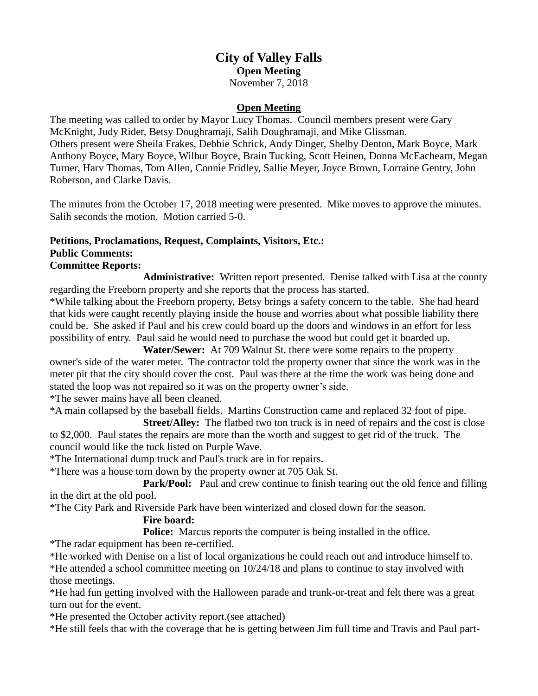# **City of Valley Falls Open Meeting** November 7, 2018

### **Open Meeting**

The meeting was called to order by Mayor Lucy Thomas. Council members present were Gary McKnight, Judy Rider, Betsy Doughramaji, Salih Doughramaji, and Mike Glissman. Others present were Sheila Frakes, Debbie Schrick, Andy Dinger, Shelby Denton, Mark Boyce, Mark Anthony Boyce, Mary Boyce, Wilbur Boyce, Brain Tucking, Scott Heinen, Donna McEachearn, Megan Turner, Harv Thomas, Tom Allen, Connie Fridley, Sallie Meyer, Joyce Brown, Lorraine Gentry, John Roberson, and Clarke Davis.

The minutes from the October 17, 2018 meeting were presented. Mike moves to approve the minutes. Salih seconds the motion. Motion carried 5-0.

#### **Petitions, Proclamations, Request, Complaints, Visitors, Etc.: Public Comments:**

#### **Committee Reports:**

**Administrative:** Written report presented. Denise talked with Lisa at the county regarding the Freeborn property and she reports that the process has started.

\*While talking about the Freeborn property, Betsy brings a safety concern to the table. She had heard that kids were caught recently playing inside the house and worries about what possible liability there could be. She asked if Paul and his crew could board up the doors and windows in an effort for less possibility of entry. Paul said he would need to purchase the wood but could get it boarded up.

**Water/Sewer:** At 709 Walnut St. there were some repairs to the property owner's side of the water meter. The contractor told the property owner that since the work was in the meter pit that the city should cover the cost. Paul was there at the time the work was being done and stated the loop was not repaired so it was on the property owner's side.

\*The sewer mains have all been cleaned.

\*A main collapsed by the baseball fields. Martins Construction came and replaced 32 foot of pipe.

**Street/Alley:** The flatbed two ton truck is in need of repairs and the cost is close to \$2,000. Paul states the repairs are more than the worth and suggest to get rid of the truck. The council would like the tuck listed on Purple Wave.

\*The International dump truck and Paul's truck are in for repairs.

\*There was a house torn down by the property owner at 705 Oak St.

**Park/Pool:** Paul and crew continue to finish tearing out the old fence and filling in the dirt at the old pool.

\*The City Park and Riverside Park have been winterized and closed down for the season.

## **Fire board:**

**Police:** Marcus reports the computer is being installed in the office.

\*The radar equipment has been re-certified.

\*He worked with Denise on a list of local organizations he could reach out and introduce himself to.

\*He attended a school committee meeting on 10/24/18 and plans to continue to stay involved with those meetings.

\*He had fun getting involved with the Halloween parade and trunk-or-treat and felt there was a great turn out for the event.

\*He presented the October activity report.(see attached)

\*He still feels that with the coverage that he is getting between Jim full time and Travis and Paul part-